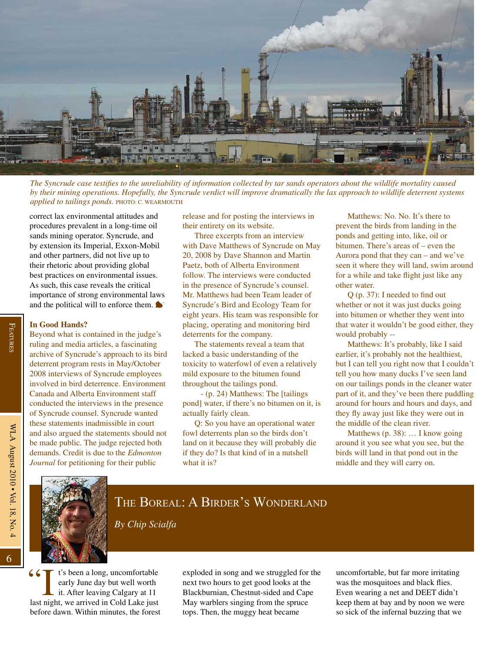

## THE BOREAL: A BIRDER'S WONDERLAND

*By Chip Scialfa*

If the seed a long, uncomfortable<br>
early June day but well worth<br>
it. After leaving Calgary at 11<br>
last night, we arrived in Cold Lake just t's been a long, uncomfortable early June day but well worth it. After leaving Calgary at 11 before dawn. Within minutes, the forest

exploded in song and we struggled for the next two hours to get good looks at the Blackburnian, Chestnut-sided and Cape May warblers singing from the spruce tops. Then, the muggy heat became

uncomfortable, but far more irritating was the mosquitoes and black flies. Even wearing a net and DEET didn't keep them at bay and by noon we were so sick of the infernal buzzing that we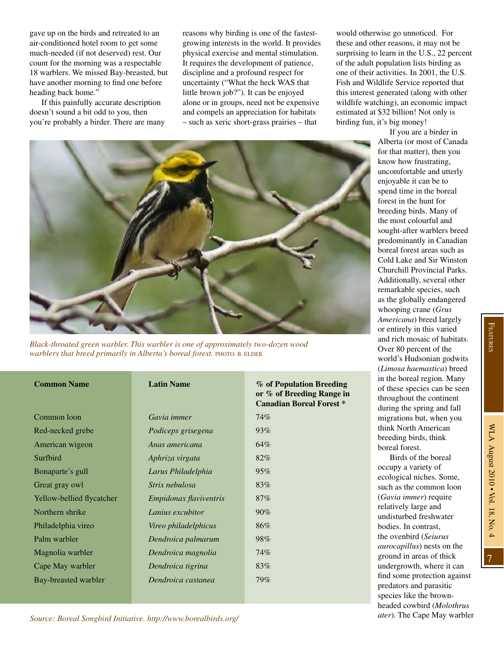gave up on the birds and retreated to an air-conditioned hotel room to get some much-needed (if not deserved) rest. Our count for the morning was a respectable 18 warblers. We missed Bay-breasted, but have another morning to find one before heading back home."

If this painfully accurate description doesn't sound a bit odd to you, then you're probably a birder. There are many reasons why birding is one of the fastestgrowing interests in the world. It provides physical exercise and mental stimulation. It requires the development of patience, discipline and a profound respect for uncertainty ("What the heck WAS that little brown job?"). It can be enjoyed alone or in groups, need not be expensive and compels an appreciation for habitats – such as xeric short-grass prairies – that

**or % of Breeding Range in** 

would otherwise go unnoticed. For these and other reasons, it may not be surprising to learn in the U.S., 22 percent of the adult population lists birding as one of their activities. In 2001, the U.S. Fish and Wildlife Service reported that this interest generated (along with other wildlife watching), an economic impact estimated at \$32 billion! Not only is birding fun, it's big money!

> If you are a birder in Alberta (or most of Canada



*Black-throated green warbler. This warbler is one of approximately two-dozen wood warblers that breed primarily in Alberta's boreal forest.* PHOTO: B. ELDER

## **Common Name Latin Name** *W* of Population Breeding

|                           |                               | <b>Canadian Boreal Forest *</b> |
|---------------------------|-------------------------------|---------------------------------|
| Common loon               | Gavia immer                   | 74%                             |
| Red-necked grebe          | Podiceps grisegena            | 93%                             |
| American wigeon           | Anas americana                | 64%                             |
| Surfbird                  | Aphriza virgata               | 82%                             |
| Bonaparte's gull          | Larus Philadelphia            | 95%                             |
| Great gray owl            | Strix nebulosa                | 83%                             |
| Yellow-bellied flycatcher | <i>Empidonax flaviventris</i> | 87%                             |
| Northern shrike           | Lanius excubitor              | $90\%$                          |
| Philadelphia vireo        | Vireo philadelphicus          | 86%                             |
| Palm warbler              | Dendroica palmarum            | 98%                             |
| Magnolia warbler          | Dendroica magnolia            | 74%                             |
| Cape May warbler          | Dendroica tigrina             | 83%                             |
| Bay-breasted warbler      | Dendroica castanea            | 79%                             |
|                           |                               |                                 |

for that matter), then you know how frustrating, uncomfortable and utterly enjoyable it can be to spend time in the boreal forest in the hunt for breeding birds. Many of the most colourful and sought-after warblers breed predominantly in Canadian boreal forest areas such as Cold Lake and Sir Winston Churchill Provincial Parks. Additionally, several other remarkable species, such as the globally endangered whooping crane (*Grus Americana*) breed largely or entirely in this varied and rich mosaic of habitats. Over 80 percent of the world's Hudsonian godwits (*Limosa haemastica*) breed in the boreal region. Many of these species can be seen throughout the continent during the spring and fall migrations but, when you think North American breeding birds, think boreal forest. Birds of the boreal occupy a variety of ecological niches. Some,

such as the common loon (*Gavia immer*) require relatively large and undisturbed freshwater bodies. In contrast, the ovenbird (*Seiurus aurocapillus*) nests on the ground in areas of thick undergrowth, where it can find some protection against predators and parasitic species like the brownheaded cowbird (*Molothrus ater*). The Cape May warbler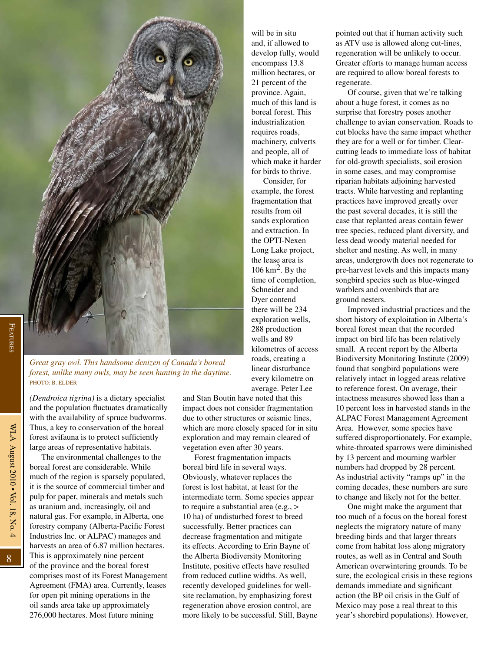

FEATURES Features

8

*Great gray owl. This handsome denizen of Canada's boreal forest, unlike many owls, may be seen hunting in the daytime.*  PHOTO: B. ELDER

*(Dendroica tigrina)* is a dietary specialist and the population fluctuates dramatically with the availability of spruce budworms. Thus, a key to conservation of the boreal forest avifauna is to protect sufficiently large areas of representative habitats. The environmental challenges to the boreal forest are considerable. While much of the region is sparsely populated, it is the source of commercial timber and pulp for paper, minerals and metals such as uranium and, increasingly, oil and natural gas. For example, in Alberta, one forestry company (Alberta-Pacific Forest Industries Inc. or ALPAC) manages and harvests an area of 6.87 million hectares. This is approximately nine percent of the province and the boreal forest comprises most of its Forest Management Agreement (FMA) area. Currently, leases for open pit mining operations in the oil sands area take up approximately 276,000 hectares. Most future mining

and Stan Boutin have noted that this impact does not consider fragmentation due to other structures or seismic lines, which are more closely spaced for in situ exploration and may remain cleared of vegetation even after 30 years.

will be in situ and, if allowed to develop fully, would encompass 13.8 million hectares, or 21 percent of the province. Again, much of this land is boreal forest. This industrialization requires roads, machinery, culverts and people, all of which make it harder for birds to thrive. Consider, for example, the forest fragmentation that results from oil sands exploration and extraction. In the OPTI-Nexen Long Lake project, the lease area is 106 km<sup>2</sup>. By the time of completion, Schneider and Dyer contend there will be 234 exploration wells, 288 production wells and 89 kilometres of access roads, creating a linear disturbance every kilometre on average. Peter Lee

Forest fragmentation impacts boreal bird life in several ways. Obviously, whatever replaces the forest is lost habitat, at least for the intermediate term. Some species appear to require a substantial area (e.g., > 10 ha) of undisturbed forest to breed successfully. Better practices can decrease fragmentation and mitigate its effects. According to Erin Bayne of the Alberta Biodiversity Monitoring Institute, positive effects have resulted from reduced cutline widths. As well, recently developed guidelines for wellsite reclamation, by emphasizing forest regeneration above erosion control, are more likely to be successful. Still, Bayne pointed out that if human activity such as ATV use is allowed along cut-lines, regeneration will be unlikely to occur. Greater efforts to manage human access are required to allow boreal forests to regenerate.

Of course, given that we're talking about a huge forest, it comes as no surprise that forestry poses another challenge to avian conservation. Roads to cut blocks have the same impact whether they are for a well or for timber. Clearcutting leads to immediate loss of habitat for old-growth specialists, soil erosion in some cases, and may compromise riparian habitats adjoining harvested tracts. While harvesting and replanting practices have improved greatly over the past several decades, it is still the case that replanted areas contain fewer tree species, reduced plant diversity, and less dead woody material needed for shelter and nesting. As well, in many areas, undergrowth does not regenerate to pre-harvest levels and this impacts many songbird species such as blue-winged warblers and ovenbirds that are ground nesters.

Improved industrial practices and the short history of exploitation in Alberta's boreal forest mean that the recorded impact on bird life has been relatively small. A recent report by the Alberta Biodiversity Monitoring Institute (2009) found that songbird populations were relatively intact in logged areas relative to reference forest. On average, their intactness measures showed less than a 10 percent loss in harvested stands in the ALPAC Forest Management Agreement Area. However, some species have suffered disproportionately. For example, white-throated sparrows were diminished by 13 percent and mourning warbler numbers had dropped by 28 percent. As industrial activity "ramps up" in the coming decades, these numbers are sure to change and likely not for the better.

One might make the argument that too much of a focus on the boreal forest neglects the migratory nature of many breeding birds and that larger threats come from habitat loss along migratory routes, as well as in Central and South American overwintering grounds. To be sure, the ecological crisis in these regions demands immediate and significant action (the BP oil crisis in the Gulf of Mexico may pose a real threat to this year's shorebird populations). However,